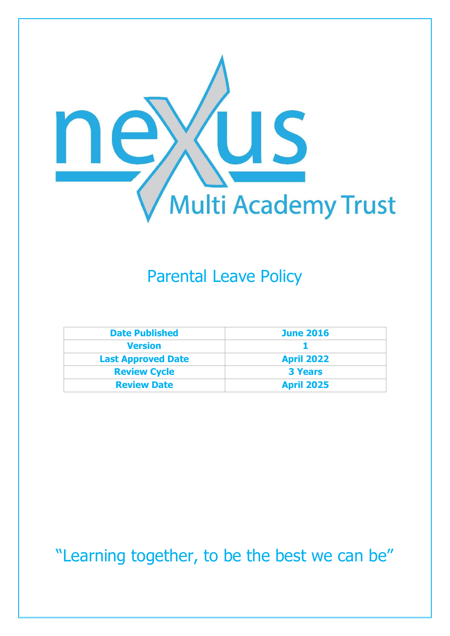

# Parental Leave Policy

| <b>Date Published</b>     | <b>June 2016</b>  |
|---------------------------|-------------------|
| <b>Version</b>            |                   |
| <b>Last Approved Date</b> | <b>April 2022</b> |
| <b>Review Cycle</b>       | <b>3 Years</b>    |
| <b>Review Date</b>        | <b>April 2025</b> |

"Learning together, to be the best we can be"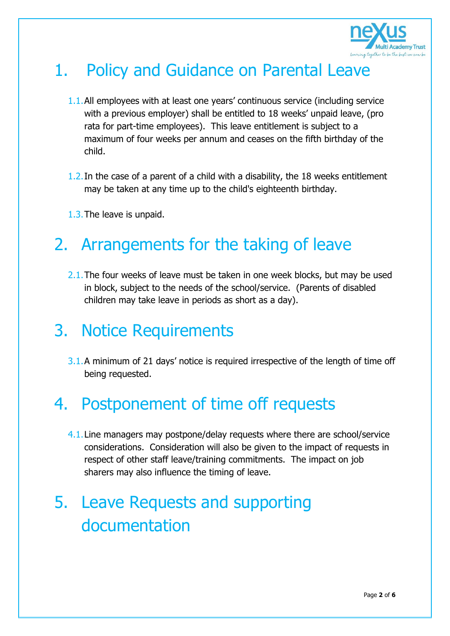

# 1. Policy and Guidance on Parental Leave

- 1.1.All employees with at least one years' continuous service (including service with a previous employer) shall be entitled to 18 weeks' unpaid leave, (pro rata for part-time employees). This leave entitlement is subject to a maximum of four weeks per annum and ceases on the fifth birthday of the child.
- 1.2.In the case of a parent of a child with a disability, the 18 weeks entitlement may be taken at any time up to the child's eighteenth birthday.
- 1.3.The leave is unpaid.

## 2. Arrangements for the taking of leave

2.1. The four weeks of leave must be taken in one week blocks, but may be used in block, subject to the needs of the school/service. (Parents of disabled children may take leave in periods as short as a day).

#### 3. Notice Requirements

3.1.A minimum of 21 days' notice is required irrespective of the length of time off being requested.

## 4. Postponement of time off requests

4.1.Line managers may postpone/delay requests where there are school/service considerations. Consideration will also be given to the impact of requests in respect of other staff leave/training commitments. The impact on job sharers may also influence the timing of leave.

# 5. Leave Requests and supporting documentation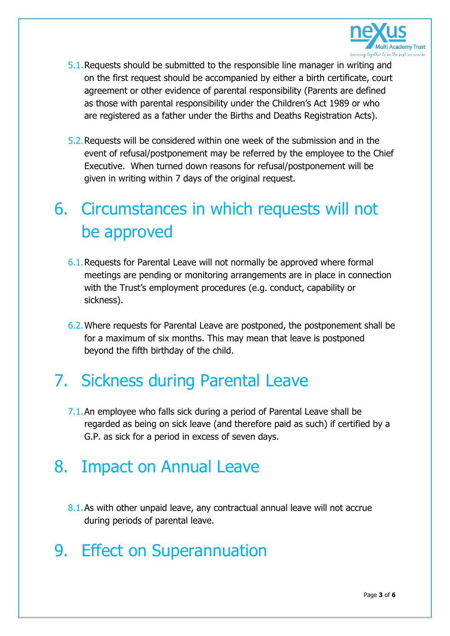

- 5.1.Requests should be submitted to the responsible line manager in writing and on the first request should be accompanied by either a birth certificate, court agreement or other evidence of parental responsibility (Parents are defined as those with parental responsibility under the Children's Act 1989 or who are registered as a father under the Births and Deaths Registration Acts).
- 5.2.Requests will be considered within one week of the submission and in the event of refusal/postponement may be referred by the employee to the Chief Executive. When turned down reasons for refusal/postponement will be given in writing within 7 days of the original request.

# 6. Circumstances in which requests will not be approved

- 6.1.Requests for Parental Leave will not normally be approved where formal meetings are pending or monitoring arrangements are in place in connection with the Trust's employment procedures (e.g. conduct, capability or sickness).
- 6.2.Where requests for Parental Leave are postponed, the postponement shall be for a maximum of six months. This may mean that leave is postponed beyond the fifth birthday of the child.

#### 7. Sickness during Parental Leave

7.1.An employee who falls sick during a period of Parental Leave shall be regarded as being on sick leave (and therefore paid as such) if certified by a G.P. as sick for a period in excess of seven days.

## 8. Impact on Annual Leave

8.1.As with other unpaid leave, any contractual annual leave will not accrue during periods of parental leave.

## 9. Effect on Superannuation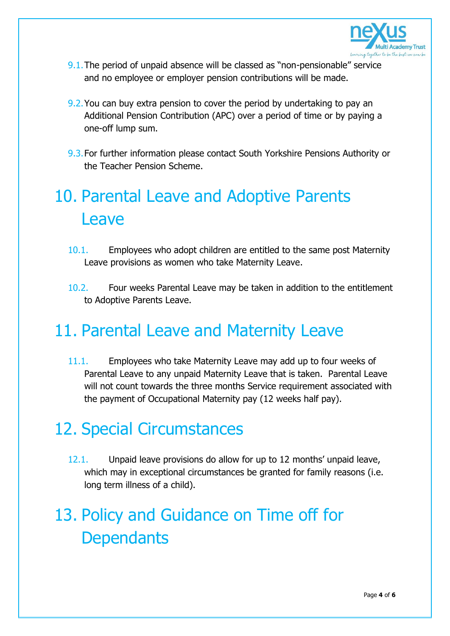

- 9.1.The period of unpaid absence will be classed as "non-pensionable" service and no employee or employer pension contributions will be made.
- 9.2.You can buy extra pension to cover the period by undertaking to pay an Additional Pension Contribution (APC) over a period of time or by paying a one-off lump sum.
- 9.3.For further information please contact South Yorkshire Pensions Authority or the Teacher Pension Scheme.

# 10. Parental Leave and Adoptive Parents Leave

- 10.1. Employees who adopt children are entitled to the same post Maternity Leave provisions as women who take Maternity Leave.
- 10.2. Four weeks Parental Leave may be taken in addition to the entitlement to Adoptive Parents Leave.

#### 11. Parental Leave and Maternity Leave

11.1. Employees who take Maternity Leave may add up to four weeks of Parental Leave to any unpaid Maternity Leave that is taken. Parental Leave will not count towards the three months Service requirement associated with the payment of Occupational Maternity pay (12 weeks half pay).

#### 12. Special Circumstances

12.1. Unpaid leave provisions do allow for up to 12 months' unpaid leave, which may in exceptional circumstances be granted for family reasons (i.e. long term illness of a child).

# 13. Policy and Guidance on Time off for **Dependants**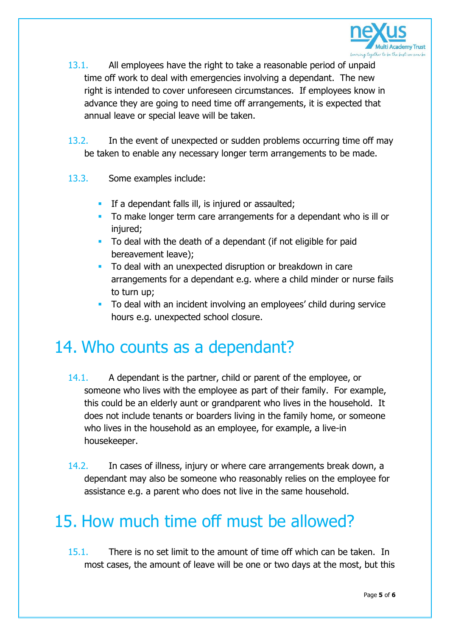

- 13.1. All employees have the right to take a reasonable period of unpaid time off work to deal with emergencies involving a dependant. The new right is intended to cover unforeseen circumstances. If employees know in advance they are going to need time off arrangements, it is expected that annual leave or special leave will be taken.
- 13.2. In the event of unexpected or sudden problems occurring time off may be taken to enable any necessary longer term arrangements to be made.
- 13.3. Some examples include:
	- **If a dependant falls ill, is injured or assaulted;**
	- To make longer term care arrangements for a dependant who is ill or injured:
	- To deal with the death of a dependant (if not eligible for paid bereavement leave);
	- To deal with an unexpected disruption or breakdown in care arrangements for a dependant e.g. where a child minder or nurse fails to turn up;
	- To deal with an incident involving an employees' child during service hours e.g. unexpected school closure.

#### 14. Who counts as a dependant?

- 14.1. A dependant is the partner, child or parent of the employee, or someone who lives with the employee as part of their family. For example, this could be an elderly aunt or grandparent who lives in the household. It does not include tenants or boarders living in the family home, or someone who lives in the household as an employee, for example, a live-in housekeeper.
- 14.2. In cases of illness, injury or where care arrangements break down, a dependant may also be someone who reasonably relies on the employee for assistance e.g. a parent who does not live in the same household.

## 15. How much time off must be allowed?

15.1. There is no set limit to the amount of time off which can be taken. In most cases, the amount of leave will be one or two days at the most, but this